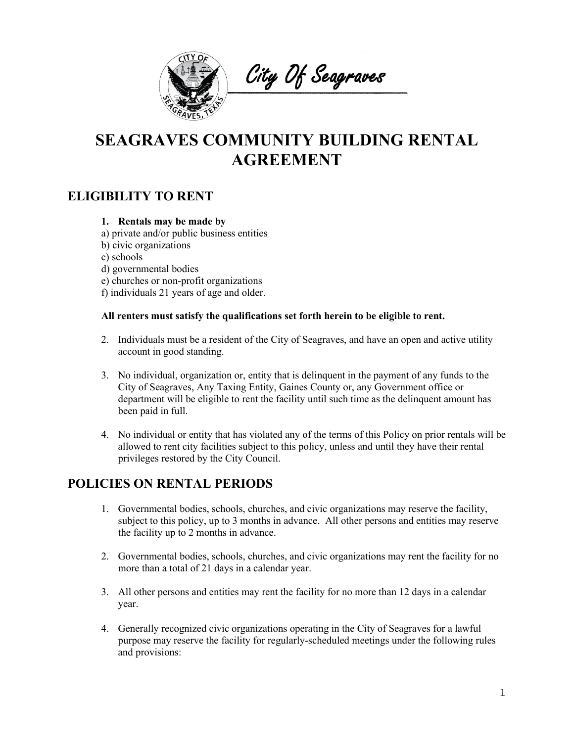

City Of Seagraves

# **SEAGRAVES COMMUNITY BUILDING RENTAL AGREEMENT**

### **ELIGIBILITY TO RENT**

#### **1. Rentals may be made by**

- a) private and/or public business entities
- b) civic organizations
- c) schools
- d) governmental bodies
- e) churches or non-profit organizations
- f) individuals 21 years of age and older.

#### **All renters must satisfy the qualifications set forth herein to be eligible to rent.**

- 2. Individuals must be a resident of the City of Seagraves, and have an open and active utility account in good standing.
- 3. No individual, organization or, entity that is delinquent in the payment of any funds to the City of Seagraves, Any Taxing Entity, Gaines County or, any Government office or department will be eligible to rent the facility until such time as the delinquent amount has been paid in full.
- 4. No individual or entity that has violated any of the terms of this Policy on prior rentals will be allowed to rent city facilities subject to this policy, unless and until they have their rental privileges restored by the City Council.

### **POLICIES ON RENTAL PERIODS**

- 1. Governmental bodies, schools, churches, and civic organizations may reserve the facility, subject to this policy, up to 3 months in advance. All other persons and entities may reserve the facility up to 2 months in advance.
- 2. Governmental bodies, schools, churches, and civic organizations may rent the facility for no more than a total of 21 days in a calendar year.
- 3. All other persons and entities may rent the facility for no more than 12 days in a calendar year.
- 4. Generally recognized civic organizations operating in the City of Seagraves for a lawful purpose may reserve the facility for regularly-scheduled meetings under the following rules and provisions: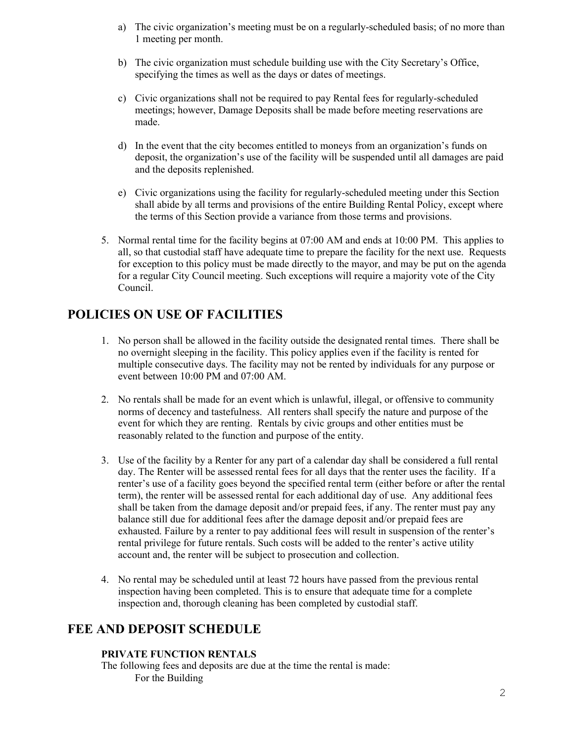- a) The civic organization's meeting must be on a regularly-scheduled basis; of no more than 1 meeting per month.
- b) The civic organization must schedule building use with the City Secretary's Office, specifying the times as well as the days or dates of meetings.
- c) Civic organizations shall not be required to pay Rental fees for regularly-scheduled meetings; however, Damage Deposits shall be made before meeting reservations are made.
- d) In the event that the city becomes entitled to moneys from an organization's funds on deposit, the organization's use of the facility will be suspended until all damages are paid and the deposits replenished.
- e) Civic organizations using the facility for regularly-scheduled meeting under this Section shall abide by all terms and provisions of the entire Building Rental Policy, except where the terms of this Section provide a variance from those terms and provisions.
- 5. Normal rental time for the facility begins at 07:00 AM and ends at 10:00 PM. This applies to all, so that custodial staff have adequate time to prepare the facility for the next use. Requests for exception to this policy must be made directly to the mayor, and may be put on the agenda for a regular City Council meeting. Such exceptions will require a majority vote of the City Council.

## **POLICIES ON USE OF FACILITIES**

- 1. No person shall be allowed in the facility outside the designated rental times. There shall be no overnight sleeping in the facility. This policy applies even if the facility is rented for multiple consecutive days. The facility may not be rented by individuals for any purpose or event between 10:00 PM and 07:00 AM.
- 2. No rentals shall be made for an event which is unlawful, illegal, or offensive to community norms of decency and tastefulness. All renters shall specify the nature and purpose of the event for which they are renting. Rentals by civic groups and other entities must be reasonably related to the function and purpose of the entity.
- 3. Use of the facility by a Renter for any part of a calendar day shall be considered a full rental day. The Renter will be assessed rental fees for all days that the renter uses the facility. If a renter's use of a facility goes beyond the specified rental term (either before or after the rental term), the renter will be assessed rental for each additional day of use. Any additional fees shall be taken from the damage deposit and/or prepaid fees, if any. The renter must pay any balance still due for additional fees after the damage deposit and/or prepaid fees are exhausted. Failure by a renter to pay additional fees will result in suspension of the renter's rental privilege for future rentals. Such costs will be added to the renter's active utility account and, the renter will be subject to prosecution and collection.
- 4. No rental may be scheduled until at least 72 hours have passed from the previous rental inspection having been completed. This is to ensure that adequate time for a complete inspection and, thorough cleaning has been completed by custodial staff.

### **FEE AND DEPOSIT SCHEDULE**

#### **PRIVATE FUNCTION RENTALS**

The following fees and deposits are due at the time the rental is made: For the Building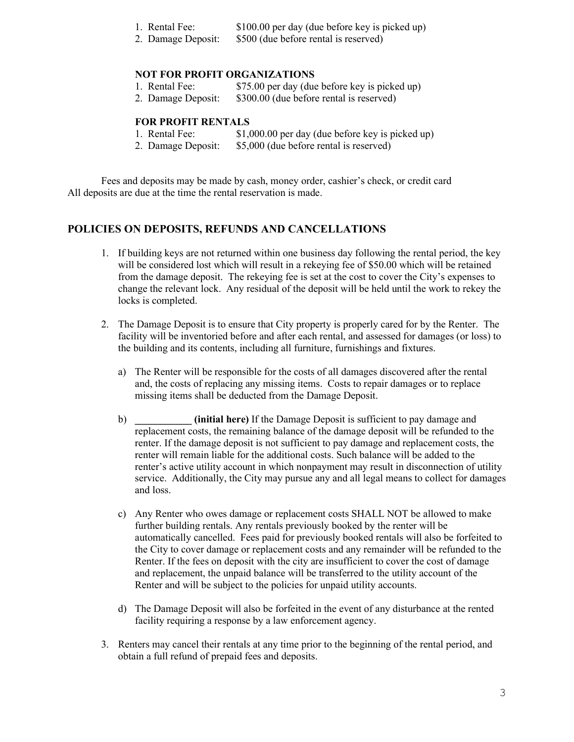|               | 1. Rental Fee: |  |  |  | \$100.00 per day (due before key is picked up) |  |
|---------------|----------------|--|--|--|------------------------------------------------|--|
| $\sim$ $\sim$ |                |  |  |  |                                                |  |

2. Damage Deposit: \$500 (due before rental is reserved)

#### **NOT FOR PROFIT ORGANIZATIONS**

- 1. Rental Fee: \$75.00 per day (due before key is picked up)<br>2. Damage Deposit: \$300.00 (due before rental is reserved)
	- \$300.00 (due before rental is reserved)

#### **FOR PROFIT RENTALS**

| 1. Rental Fee:     | \$1,000.00 per day (due before key is picked up) |
|--------------------|--------------------------------------------------|
| 2. Damage Deposit: | \$5,000 (due before rental is reserved)          |

Fees and deposits may be made by cash, money order, cashier's check, or credit card

## All deposits are due at the time the rental reservation is made.

### **POLICIES ON DEPOSITS, REFUNDS AND CANCELLATIONS**

- 1. If building keys are not returned within one business day following the rental period, the key will be considered lost which will result in a rekeying fee of \$50.00 which will be retained from the damage deposit. The rekeying fee is set at the cost to cover the City's expenses to change the relevant lock. Any residual of the deposit will be held until the work to rekey the locks is completed.
- 2. The Damage Deposit is to ensure that City property is properly cared for by the Renter. The facility will be inventoried before and after each rental, and assessed for damages (or loss) to the building and its contents, including all furniture, furnishings and fixtures.
	- a) The Renter will be responsible for the costs of all damages discovered after the rental and, the costs of replacing any missing items. Costs to repair damages or to replace missing items shall be deducted from the Damage Deposit.
	- b) **\_\_\_\_\_\_\_\_\_\_\_ (initial here)** If the Damage Deposit is sufficient to pay damage and replacement costs, the remaining balance of the damage deposit will be refunded to the renter. If the damage deposit is not sufficient to pay damage and replacement costs, the renter will remain liable for the additional costs. Such balance will be added to the renter's active utility account in which nonpayment may result in disconnection of utility service. Additionally, the City may pursue any and all legal means to collect for damages and loss.
	- c) Any Renter who owes damage or replacement costs SHALL NOT be allowed to make further building rentals. Any rentals previously booked by the renter will be automatically cancelled. Fees paid for previously booked rentals will also be forfeited to the City to cover damage or replacement costs and any remainder will be refunded to the Renter. If the fees on deposit with the city are insufficient to cover the cost of damage and replacement, the unpaid balance will be transferred to the utility account of the Renter and will be subject to the policies for unpaid utility accounts.
	- d) The Damage Deposit will also be forfeited in the event of any disturbance at the rented facility requiring a response by a law enforcement agency.
- 3. Renters may cancel their rentals at any time prior to the beginning of the rental period, and obtain a full refund of prepaid fees and deposits.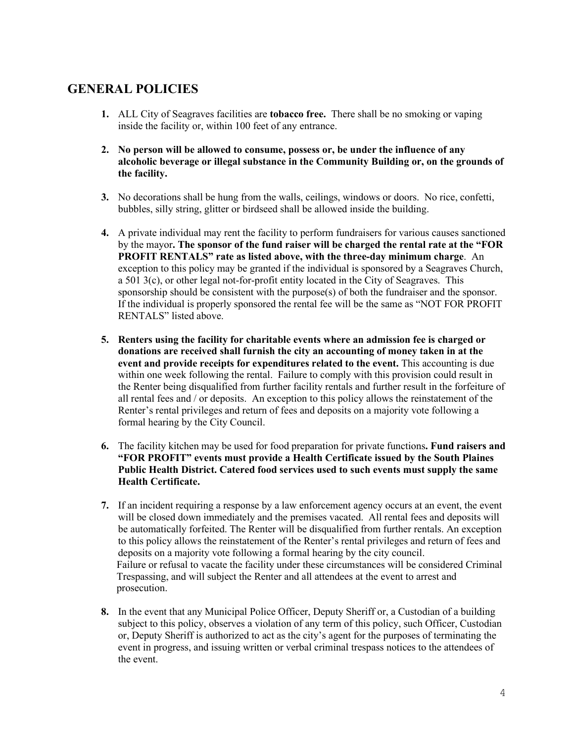## **GENERAL POLICIES**

- **1.** ALL City of Seagraves facilities are **tobacco free.** There shall be no smoking or vaping inside the facility or, within 100 feet of any entrance.
- **2. No person will be allowed to consume, possess or, be under the influence of any alcoholic beverage or illegal substance in the Community Building or, on the grounds of the facility.**
- **3.** No decorations shall be hung from the walls, ceilings, windows or doors. No rice, confetti, bubbles, silly string, glitter or birdseed shall be allowed inside the building.
- **4.** A private individual may rent the facility to perform fundraisers for various causes sanctioned by the mayor**. The sponsor of the fund raiser will be charged the rental rate at the "FOR PROFIT RENTALS" rate as listed above, with the three-day minimum charge**. An exception to this policy may be granted if the individual is sponsored by a Seagraves Church, a 501 3(c), or other legal not-for-profit entity located in the City of Seagraves. This sponsorship should be consistent with the purpose $(s)$  of both the fundraiser and the sponsor. If the individual is properly sponsored the rental fee will be the same as "NOT FOR PROFIT RENTALS" listed above.
- **5. Renters using the facility for charitable events where an admission fee is charged or donations are received shall furnish the city an accounting of money taken in at the event and provide receipts for expenditures related to the event.** This accounting is due within one week following the rental. Failure to comply with this provision could result in the Renter being disqualified from further facility rentals and further result in the forfeiture of all rental fees and / or deposits. An exception to this policy allows the reinstatement of the Renter's rental privileges and return of fees and deposits on a majority vote following a formal hearing by the City Council.
- **6.** The facility kitchen may be used for food preparation for private functions**. Fund raisers and "FOR PROFIT" events must provide a Health Certificate issued by the South Plaines Public Health District. Catered food services used to such events must supply the same Health Certificate.**
- **7.** If an incident requiring a response by a law enforcement agency occurs at an event, the event will be closed down immediately and the premises vacated. All rental fees and deposits will be automatically forfeited. The Renter will be disqualified from further rentals. An exception to this policy allows the reinstatement of the Renter's rental privileges and return of fees and deposits on a majority vote following a formal hearing by the city council. Failure or refusal to vacate the facility under these circumstances will be considered Criminal Trespassing, and will subject the Renter and all attendees at the event to arrest and prosecution.
- **8.** In the event that any Municipal Police Officer, Deputy Sheriff or, a Custodian of a building subject to this policy, observes a violation of any term of this policy, such Officer, Custodian or, Deputy Sheriff is authorized to act as the city's agent for the purposes of terminating the event in progress, and issuing written or verbal criminal trespass notices to the attendees of the event.